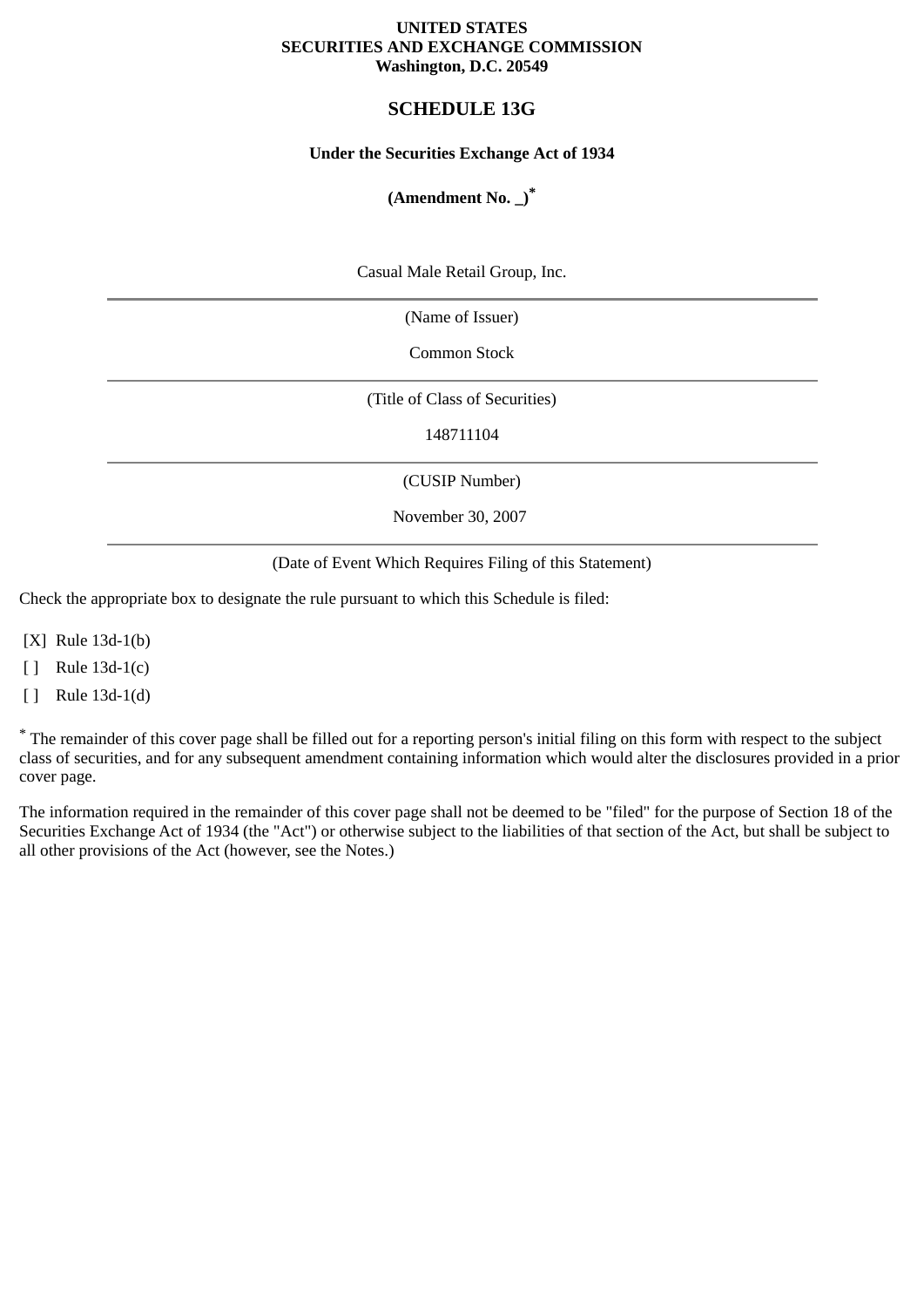#### **UNITED STATES SECURITIES AND EXCHANGE COMMISSION Washington, D.C. 20549**

# **SCHEDULE 13G**

## **Under the Securities Exchange Act of 1934**

# **(Amendment No. \_)\***

Casual Male Retail Group, Inc.

(Name of Issuer)

Common Stock

(Title of Class of Securities)

148711104

(CUSIP Number)

November 30, 2007

(Date of Event Which Requires Filing of this Statement)

Check the appropriate box to designate the rule pursuant to which this Schedule is filed:

[X] Rule 13d-1(b)

[ ] Rule 13d-1(c)

[ ] Rule 13d-1(d)

\* The remainder of this cover page shall be filled out for a reporting person's initial filing on this form with respect to the subject class of securities, and for any subsequent amendment containing information which would alter the disclosures provided in a prior cover page.

The information required in the remainder of this cover page shall not be deemed to be "filed" for the purpose of Section 18 of the Securities Exchange Act of 1934 (the "Act") or otherwise subject to the liabilities of that section of the Act, but shall be subject to all other provisions of the Act (however, see the Notes.)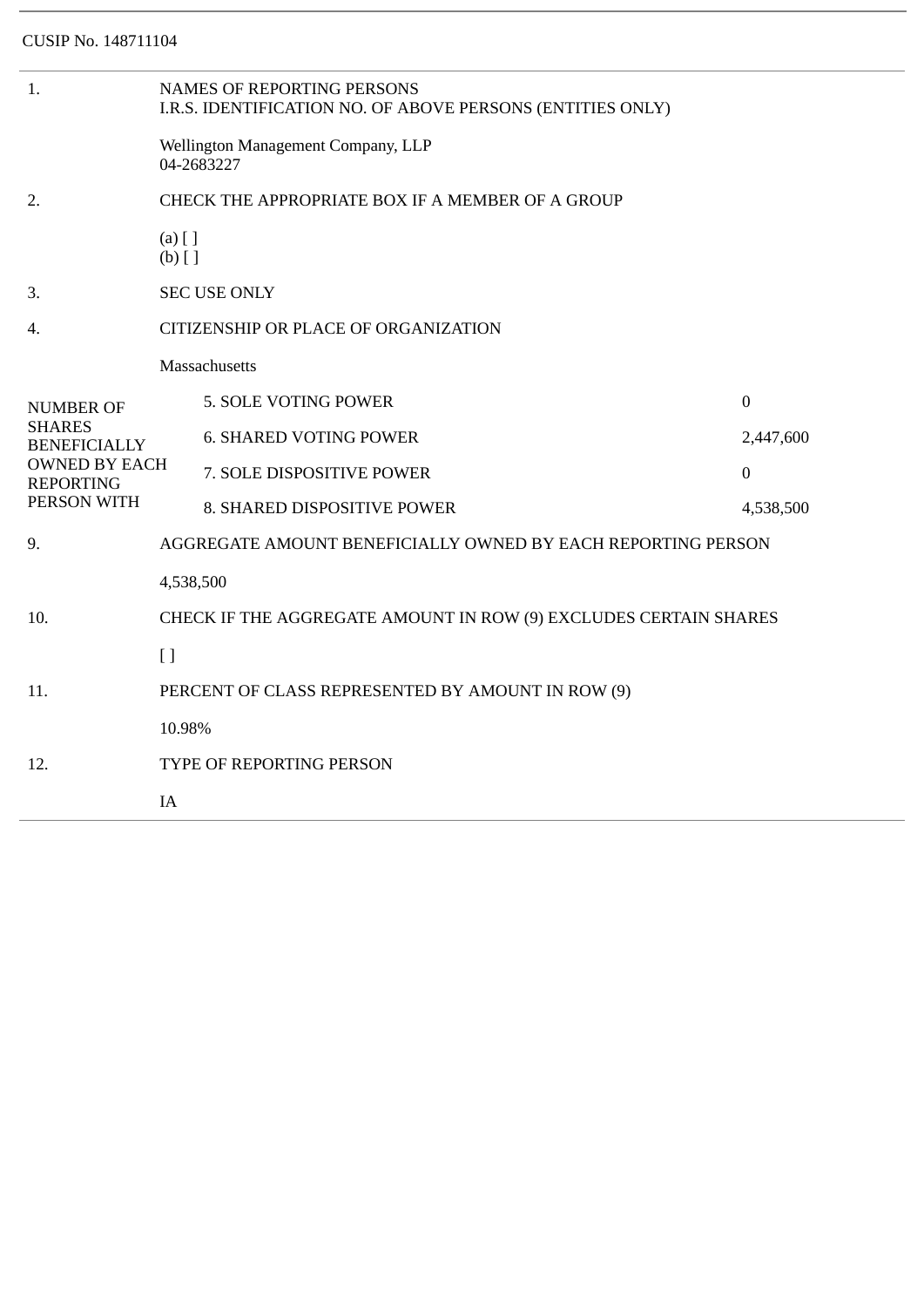| 1.                                                                                                           | <b>NAMES OF REPORTING PERSONS</b><br>I.R.S. IDENTIFICATION NO. OF ABOVE PERSONS (ENTITIES ONLY) |                               |                |  |  |
|--------------------------------------------------------------------------------------------------------------|-------------------------------------------------------------------------------------------------|-------------------------------|----------------|--|--|
|                                                                                                              | Wellington Management Company, LLP<br>04-2683227                                                |                               |                |  |  |
| 2.                                                                                                           | CHECK THE APPROPRIATE BOX IF A MEMBER OF A GROUP                                                |                               |                |  |  |
|                                                                                                              | $(a)$ [ ]<br>$(b)$ []                                                                           |                               |                |  |  |
| 3.                                                                                                           |                                                                                                 | <b>SEC USE ONLY</b>           |                |  |  |
| 4.                                                                                                           | CITIZENSHIP OR PLACE OF ORGANIZATION                                                            |                               |                |  |  |
|                                                                                                              | Massachusetts                                                                                   |                               |                |  |  |
| NUMBER OF<br><b>SHARES</b><br><b>BENEFICIALLY</b><br><b>OWNED BY EACH</b><br><b>REPORTING</b><br>PERSON WITH |                                                                                                 | 5. SOLE VOTING POWER          | $\mathbf{0}$   |  |  |
|                                                                                                              |                                                                                                 | <b>6. SHARED VOTING POWER</b> | 2,447,600      |  |  |
|                                                                                                              |                                                                                                 | 7. SOLE DISPOSITIVE POWER     | $\overline{0}$ |  |  |
|                                                                                                              |                                                                                                 | 8. SHARED DISPOSITIVE POWER   | 4,538,500      |  |  |
| 9.                                                                                                           | AGGREGATE AMOUNT BENEFICIALLY OWNED BY EACH REPORTING PERSON                                    |                               |                |  |  |
|                                                                                                              | 4,538,500                                                                                       |                               |                |  |  |
| 10.                                                                                                          | CHECK IF THE AGGREGATE AMOUNT IN ROW (9) EXCLUDES CERTAIN SHARES                                |                               |                |  |  |
|                                                                                                              | $\lceil$                                                                                        |                               |                |  |  |
| 11.                                                                                                          | PERCENT OF CLASS REPRESENTED BY AMOUNT IN ROW (9)                                               |                               |                |  |  |
|                                                                                                              | 10.98%                                                                                          |                               |                |  |  |
| 12.                                                                                                          | TYPE OF REPORTING PERSON                                                                        |                               |                |  |  |
|                                                                                                              | IA                                                                                              |                               |                |  |  |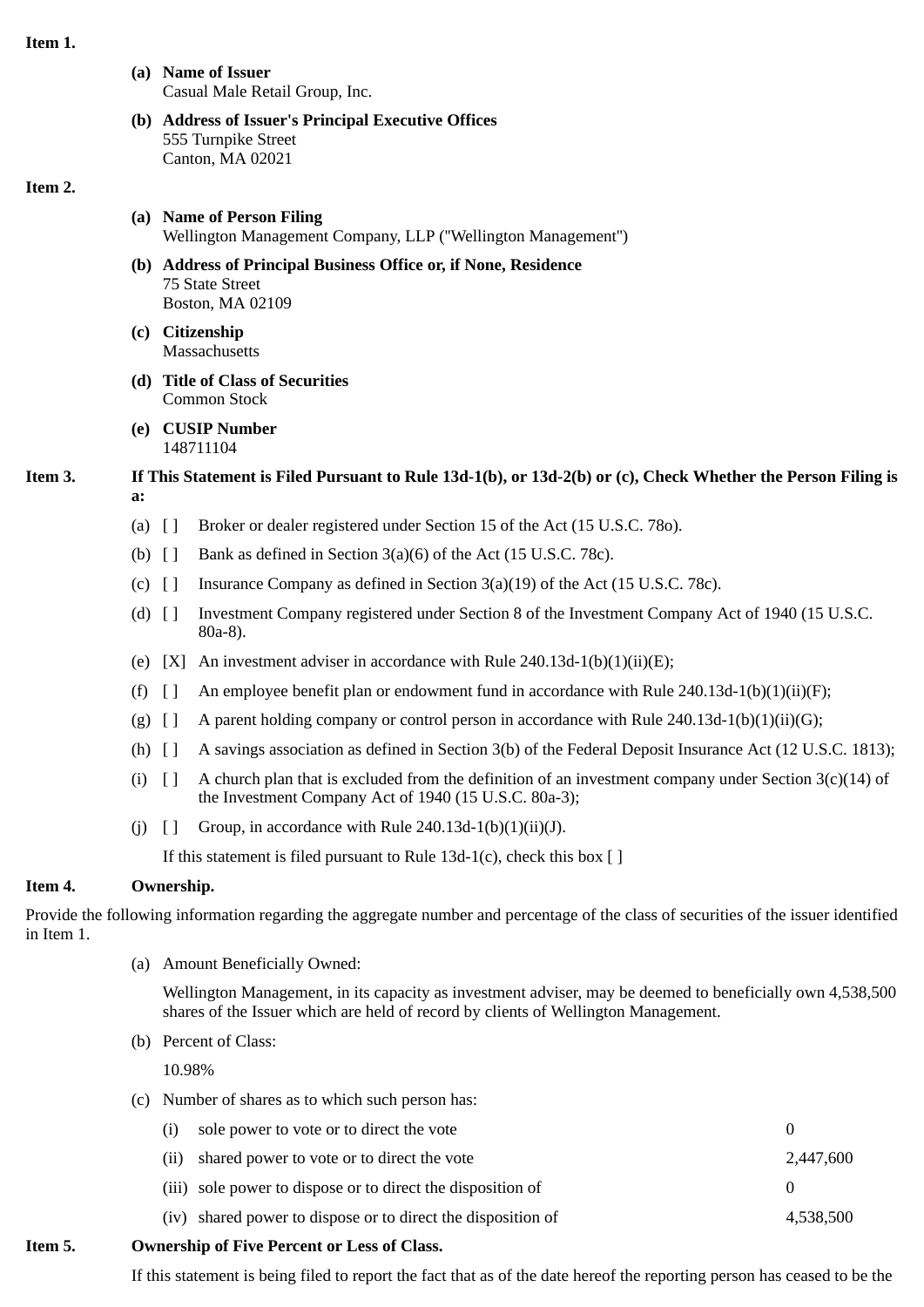#### **Item 1.**

- **(a) Name of Issuer** Casual Male Retail Group, Inc.
- **(b) Address of Issuer's Principal Executive Offices** 555 Turnpike Street Canton, MA 02021

#### **Item 2.**

- **(a) Name of Person Filing** Wellington Management Company, LLP (''Wellington Management'')
- **(b) Address of Principal Business Office or, if None, Residence** 75 State Street Boston, MA 02109
- **(c) Citizenship Massachusetts**
- **(d) Title of Class of Securities** Common Stock
- **(e) CUSIP Number** 148711104

# **Item 3. If This Statement is Filed Pursuant to Rule 13d-1(b), or 13d-2(b) or (c), Check Whether the Person Filing is a:**

- (a) [ ] Broker or dealer registered under Section 15 of the Act (15 U.S.C. 78o).
- (b)  $\begin{bmatrix} \end{bmatrix}$  Bank as defined in Section 3(a)(6) of the Act (15 U.S.C. 78c).
- (c)  $\left[ \ \right]$  Insurance Company as defined in Section 3(a)(19) of the Act (15 U.S.C. 78c).
- (d) [ ] Investment Company registered under Section 8 of the Investment Company Act of 1940 (15 U.S.C. 80a-8).
- (e)  $[X]$  An investment adviser in accordance with Rule 240.13d-1(b)(1)(ii)(E);
- (f)  $\lceil$  An employee benefit plan or endowment fund in accordance with Rule 240.13d-1(b)(1)(ii)(F);
- (g)  $[]$  A parent holding company or control person in accordance with Rule 240.13d-1(b)(1)(ii)(G);
- (h) [ ] A savings association as defined in Section 3(b) of the Federal Deposit Insurance Act (12 U.S.C. 1813);
- (i)  $\lceil \rceil$  A church plan that is excluded from the definition of an investment company under Section 3(c)(14) of the Investment Company Act of 1940 (15 U.S.C. 80a-3);
- (i)  $\lceil \cdot \rceil$  Group, in accordance with Rule 240.13d-1(b)(1)(ii)(J).

If this statement is filed pursuant to Rule  $13d-1(c)$ , check this box [ ]

# **Item 4. Ownership.**

Provide the following information regarding the aggregate number and percentage of the class of securities of the issuer identified in Item 1.

(a) Amount Beneficially Owned:

Wellington Management, in its capacity as investment adviser, may be deemed to beneficially own 4,538,500 shares of the Issuer which are held of record by clients of Wellington Management.

(b) Percent of Class:

10.98%

(c) Number of shares as to which such person has:

| exchip of Eivo Dovcont or Loss of Class |                                                              |           |  |  |  |
|-----------------------------------------|--------------------------------------------------------------|-----------|--|--|--|
|                                         | (iv) shared power to dispose or to direct the disposition of | 4,538,500 |  |  |  |
|                                         | (iii) sole power to dispose or to direct the disposition of  |           |  |  |  |
|                                         | (ii) shared power to vote or to direct the vote              | 2,447,600 |  |  |  |
| (i)                                     | sole power to vote or to direct the vote                     |           |  |  |  |

## **Item 5. Ownership of Five Percent or Less of Class.**

If this statement is being filed to report the fact that as of the date hereof the reporting person has ceased to be the